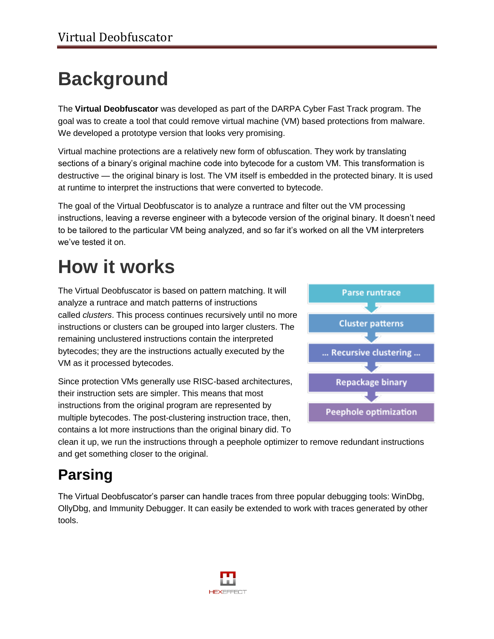# **Background**

The **Virtual Deobfuscator** was developed as part of the DARPA Cyber Fast Track program. The goal was to create a tool that could remove virtual machine (VM) based protections from malware. We developed a prototype version that looks very promising.

Virtual machine protections are a relatively new form of obfuscation. They work by translating sections of a binary's original machine code into bytecode for a custom VM. This transformation is destructive — the original binary is lost. The VM itself is embedded in the protected binary. It is used at runtime to interpret the instructions that were converted to bytecode.

The goal of the Virtual Deobfuscator is to analyze a runtrace and filter out the VM processing instructions, leaving a reverse engineer with a bytecode version of the original binary. It doesn't need to be tailored to the particular VM being analyzed, and so far it's worked on all the VM interpreters we've tested it on.

# **How it works**

The Virtual Deobfuscator is based on pattern matching. It will analyze a runtrace and match patterns of instructions called *clusters*. This process continues recursively until no more instructions or clusters can be grouped into larger clusters. The remaining unclustered instructions contain the interpreted bytecodes; they are the instructions actually executed by the VM as it processed bytecodes.

Since protection VMs generally use RISC-based architectures, their instruction sets are simpler. This means that most instructions from the original program are represented by multiple bytecodes. The post-clustering instruction trace, then, contains a lot more instructions than the original binary did. To



clean it up, we run the instructions through a peephole optimizer to remove redundant instructions and get something closer to the original.

## **Parsing**

The Virtual Deobfuscator's parser can handle traces from three popular debugging tools: WinDbg, OllyDbg, and Immunity Debugger. It can easily be extended to work with traces generated by other tools.

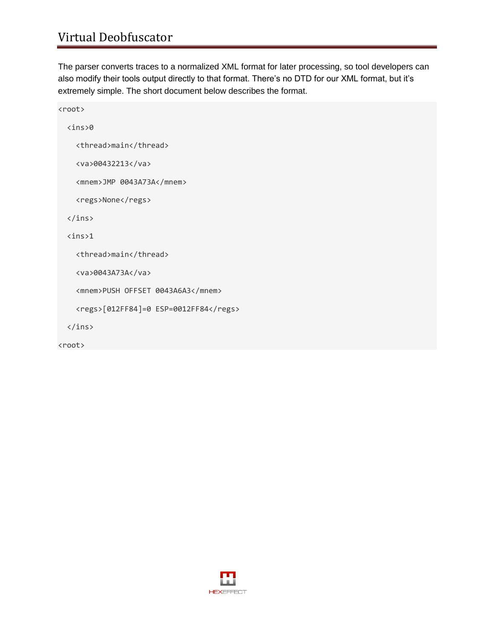#### Virtual Deobfuscator

The parser converts traces to a normalized XML format for later processing, so tool developers can also modify their tools output directly to that format. There's no DTD for our XML format, but it's extremely simple. The short document below describes the format.

```
<root>
   <ins>0
     <thread>main</thread>
     <va>00432213</va>
     <mnem>JMP 0043A73A</mnem>
    <regs>None</regs>
  \langleins>
  \langleins>1 <thread>main</thread>
     <va>0043A73A</va>
     <mnem>PUSH OFFSET 0043A6A3</mnem>
     <regs>[012FF84]=0 ESP=0012FF84</regs>
   </ins>
```
<root>

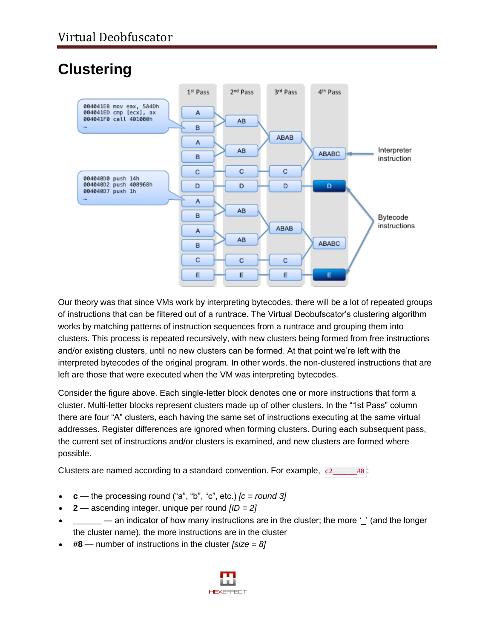## **Clustering**



Our theory was that since VMs work by interpreting bytecodes, there will be a lot of repeated groups of instructions that can be filtered out of a runtrace. The Virtual Deobufscator's clustering algorithm works by matching patterns of instruction sequences from a runtrace and grouping them into clusters. This process is repeated recursively, with new clusters being formed from free instructions and/or existing clusters, until no new clusters can be formed. At that point we're left with the interpreted bytecodes of the original program. In other words, the non-clustered instructions that are left are those that were executed when the VM was interpreting bytecodes.

Consider the figure above. Each single-letter block denotes one or more instructions that form a cluster. Multi-letter blocks represent clusters made up of other clusters. In the "1st Pass" column there are four "A" clusters, each having the same set of instructions executing at the same virtual addresses. Register differences are ignored when forming clusters. During each subsequent pass, the current set of instructions and/or clusters is examined, and new clusters are formed where possible.

Clusters are named according to a standard convention. For example,  $c^2$  #8 :

- **c** the processing round ("a", "b", "c", etc.)  $[c = round 3]$
- **2** ascending integer, unique per round *[ID = 2]*
- **\_\_\_\_\_** an indicator of how many instructions are in the cluster; the more '' (and the longer the cluster name), the more instructions are in the cluster
- **#8** number of instructions in the cluster *[size = 8]*

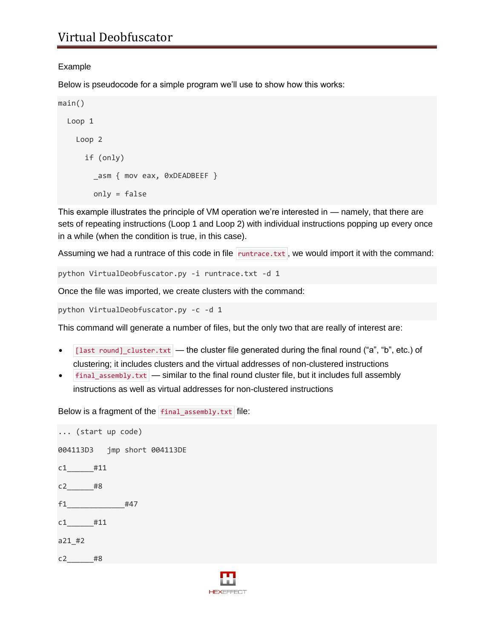#### Example

Below is pseudocode for a simple program we'll use to show how this works:

main() Loop 1 Loop 2 if (only) \_asm { mov eax, 0xDEADBEEF } only = false

This example illustrates the principle of VM operation we're interested in — namely, that there are sets of repeating instructions (Loop 1 and Loop 2) with individual instructions popping up every once in a while (when the condition is true, in this case).

Assuming we had a runtrace of this code in file  $\vert$  runtrace.txt, we would import it with the command:

python VirtualDeobfuscator.py -i runtrace.txt -d 1

Once the file was imported, we create clusters with the command:

python VirtualDeobfuscator.py -c -d 1

This command will generate a number of files, but the only two that are really of interest are:

- $\bullet$  [last round] cluster.txt the cluster file generated during the final round ("a", "b", etc.) of clustering; it includes clusters and the virtual addresses of non-clustered instructions
- final\_assembly.txt similar to the final round cluster file, but it includes full assembly instructions as well as virtual addresses for non-clustered instructions

Below is a fragment of the final\_assembly.txt file:

... (start up code) 004113D3 jmp short 004113DE c1\_\_\_\_\_\_#11 c2\_\_\_\_\_\_#8 f1\_\_\_\_\_\_\_\_\_\_\_\_\_#47 c1\_\_\_\_\_\_#11 a21\_#2 c2\_\_\_\_\_\_#8

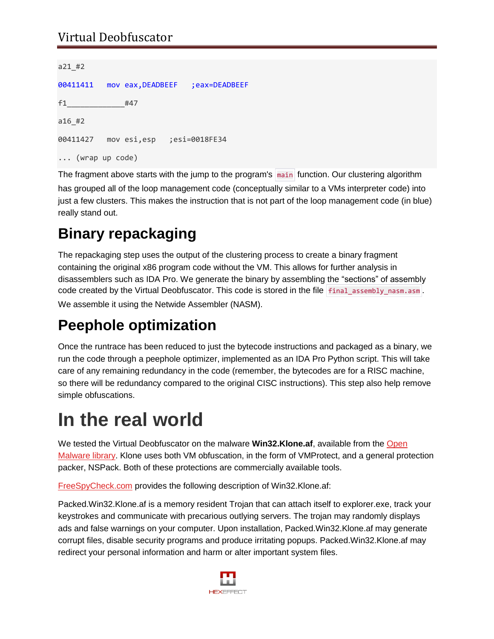#### Virtual Deobfuscator

```
a21_#2
00411411 mov eax,DEADBEEF ;eax=DEADBEEF
f1_____________#47
a16_#2
00411427 mov esi,esp ;esi=0018FE34
... (wrap up code)
```
The fragment above starts with the jump to the program's main function. Our clustering algorithm has grouped all of the loop management code (conceptually similar to a VMs interpreter code) into just a few clusters. This makes the instruction that is not part of the loop management code (in blue) really stand out.

### **Binary repackaging**

The repackaging step uses the output of the clustering process to create a binary fragment containing the original x86 program code without the VM. This allows for further analysis in disassemblers such as IDA Pro. We generate the binary by assembling the "sections" of assembly code created by the Virtual Deobfuscator. This code is stored in the file final assembly nasm.asm .

We assemble it using the Netwide Assembler (NASM).

#### **Peephole optimization**

Once the runtrace has been reduced to just the bytecode instructions and packaged as a binary, we run the code through a peephole optimizer, implemented as an IDA Pro Python script. This will take care of any remaining redundancy in the code (remember, the bytecodes are for a RISC machine, so there will be redundancy compared to the original CISC instructions). This step also help remove simple obfuscations.

# **In the real world**

We tested the Virtual Deobfuscator on the malware **Win32.Klone.af**, available from the [Open](http://oc.gtisc.gatech.edu:8080/)  [Malware library.](http://oc.gtisc.gatech.edu:8080/) Klone uses both VM obfuscation, in the form of VMProtect, and a general protection packer, NSPack. Both of these protections are commercially available tools.

[FreeSpyCheck.com](http://www.freespycheck.com/malware-removal/remove-packed-win32-klone-af.html) provides the following description of Win32.Klone.af:

Packed.Win32.Klone.af is a memory resident Trojan that can attach itself to explorer.exe, track your keystrokes and communicate with precarious outlying servers. The trojan may randomly displays ads and false warnings on your computer. Upon installation, Packed.Win32.Klone.af may generate corrupt files, disable security programs and produce irritating popups. Packed.Win32.Klone.af may redirect your personal information and harm or alter important system files.